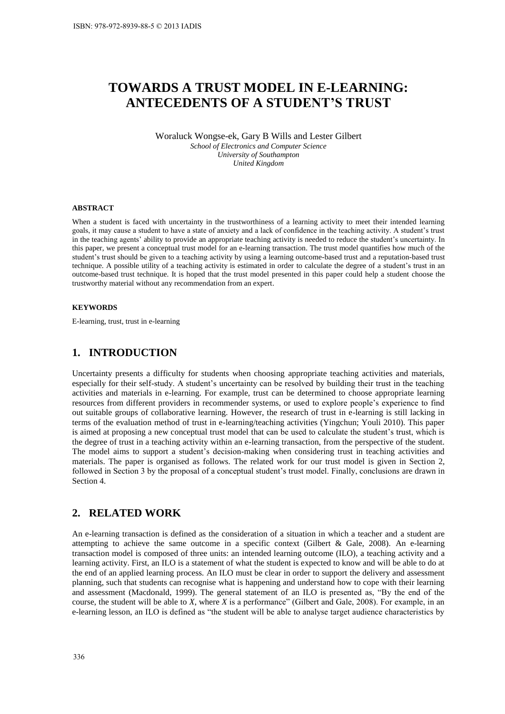# **TOWARDS A TRUST MODEL IN E-LEARNING: ANTECEDENTS OF A STUDENT'S TRUST**

Woraluck Wongse-ek, Gary B Wills and Lester Gilbert *School of Electronics and Computer Science University of Southampton United Kingdom* 

#### **ABSTRACT**

When a student is faced with uncertainty in the trustworthiness of a learning activity to meet their intended learning goals, it may cause a student to have a state of anxiety and a lack of confidence in the teaching activity. A student's trust in the teaching agents' ability to provide an appropriate teaching activity is needed to reduce the student's uncertainty. In this paper, we present a conceptual trust model for an e-learning transaction. The trust model quantifies how much of the student's trust should be given to a teaching activity by using a learning outcome-based trust and a reputation-based trust technique. A possible utility of a teaching activity is estimated in order to calculate the degree of a student's trust in an outcome-based trust technique. It is hoped that the trust model presented in this paper could help a student choose the trustworthy material without any recommendation from an expert.

#### **KEYWORDS**

E-learning, trust, trust in e-learning

### **1. INTRODUCTION**

Uncertainty presents a difficulty for students when choosing appropriate teaching activities and materials, especially for their self-study. A student's uncertainty can be resolved by building their trust in the teaching activities and materials in e-learning. For example, trust can be determined to choose appropriate learning resources from different providers in recommender systems, or used to explore people's experience to find out suitable groups of collaborative learning. However, the research of trust in e-learning is still lacking in terms of the evaluation method of trust in e-learning/teaching activities (Yingchun; Youli 2010). This paper is aimed at proposing a new conceptual trust model that can be used to calculate the student's trust, which is the degree of trust in a teaching activity within an e-learning transaction, from the perspective of the student. The model aims to support a student's decision-making when considering trust in teaching activities and materials. The paper is organised as follows. The related work for our trust model is given in Section 2, followed in Section 3 by the proposal of a conceptual student's trust model. Finally, conclusions are drawn in Section 4.

#### **2. RELATED WORK**

An e-learning transaction is defined as the consideration of a situation in which a teacher and a student are attempting to achieve the same outcome in a specific context (Gilbert & Gale, 2008). An e-learning transaction model is composed of three units: an intended learning outcome (ILO), a teaching activity and a learning activity. First, an ILO is a statement of what the student is expected to know and will be able to do at the end of an applied learning process. An ILO must be clear in order to support the delivery and assessment planning, such that students can recognise what is happening and understand how to cope with their learning and assessment (Macdonald, 1999). The general statement of an ILO is presented as, "By the end of the course, the student will be able to *X*, where *X* is a performance" (Gilbert and Gale, 2008). For example, in an e-learning lesson, an ILO is defined as "the student will be able to analyse target audience characteristics by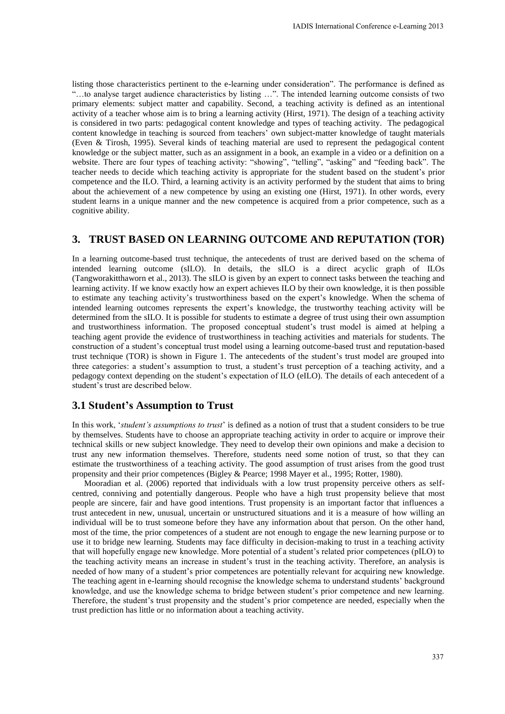listing those characteristics pertinent to the e-learning under consideration". The performance is defined as "…to analyse target audience characteristics by listing …". The intended learning outcome consists of two primary elements: subject matter and capability. Second, a teaching activity is defined as an intentional activity of a teacher whose aim is to bring a learning activity (Hirst, 1971). The design of a teaching activity is considered in two parts: pedagogical content knowledge and types of teaching activity. The pedagogical content knowledge in teaching is sourced from teachers' own subject-matter knowledge of taught materials (Even & Tirosh, 1995). Several kinds of teaching material are used to represent the pedagogical content knowledge or the subject matter, such as an assignment in a book, an example in a video or a definition on a website. There are four types of teaching activity: "showing", "telling", "asking" and "feeding back". The teacher needs to decide which teaching activity is appropriate for the student based on the student's prior competence and the ILO. Third, a learning activity is an activity performed by the student that aims to bring about the achievement of a new competence by using an existing one (Hirst, 1971). In other words, every student learns in a unique manner and the new competence is acquired from a prior competence, such as a cognitive ability.

#### **3. TRUST BASED ON LEARNING OUTCOME AND REPUTATION (TOR)**

In a learning outcome-based trust technique, the antecedents of trust are derived based on the schema of intended learning outcome (sILO). In details, the sILO is a direct acyclic graph of ILOs (Tangworakitthaworn et al., 2013). The sILO is given by an expert to connect tasks between the teaching and learning activity. If we know exactly how an expert achieves ILO by their own knowledge, it is then possible to estimate any teaching activity's trustworthiness based on the expert's knowledge. When the schema of intended learning outcomes represents the expert's knowledge, the trustworthy teaching activity will be determined from the sILO. It is possible for students to estimate a degree of trust using their own assumption and trustworthiness information. The proposed conceptual student's trust model is aimed at helping a teaching agent provide the evidence of trustworthiness in teaching activities and materials for students. The construction of a student's conceptual trust model using a learning outcome-based trust and reputation-based trust technique (TOR) is shown in Figure 1. The antecedents of the student's trust model are grouped into three categories: a student's assumption to trust, a student's trust perception of a teaching activity, and a pedagogy context depending on the student's expectation of ILO (eILO). The details of each antecedent of a student's trust are described below.

#### **3.1 Student's Assumption to Trust**

In this work, '*student's assumptions to trust*' is defined as a notion of trust that a student considers to be true by themselves. Students have to choose an appropriate teaching activity in order to acquire or improve their technical skills or new subject knowledge. They need to develop their own opinions and make a decision to trust any new information themselves. Therefore, students need some notion of trust, so that they can estimate the trustworthiness of a teaching activity. The good assumption of trust arises from the good trust propensity and their prior competences (Bigley & Pearce; 1998 Mayer et al., 1995; Rotter, 1980).

Mooradian et al. (2006) reported that individuals with a low trust propensity perceive others as selfcentred, conniving and potentially dangerous. People who have a high trust propensity believe that most people are sincere, fair and have good intentions. Trust propensity is an important factor that influences a trust antecedent in new, unusual, uncertain or unstructured situations and it is a measure of how willing an individual will be to trust someone before they have any information about that person. On the other hand, most of the time, the prior competences of a student are not enough to engage the new learning purpose or to use it to bridge new learning. Students may face difficulty in decision-making to trust in a teaching activity that will hopefully engage new knowledge. More potential of a student's related prior competences (pILO) to the teaching activity means an increase in student's trust in the teaching activity. Therefore, an analysis is needed of how many of a student's prior competences are potentially relevant for acquiring new knowledge. The teaching agent in e-learning should recognise the knowledge schema to understand students' background knowledge, and use the knowledge schema to bridge between student's prior competence and new learning. Therefore, the student's trust propensity and the student's prior competence are needed, especially when the trust prediction has little or no information about a teaching activity.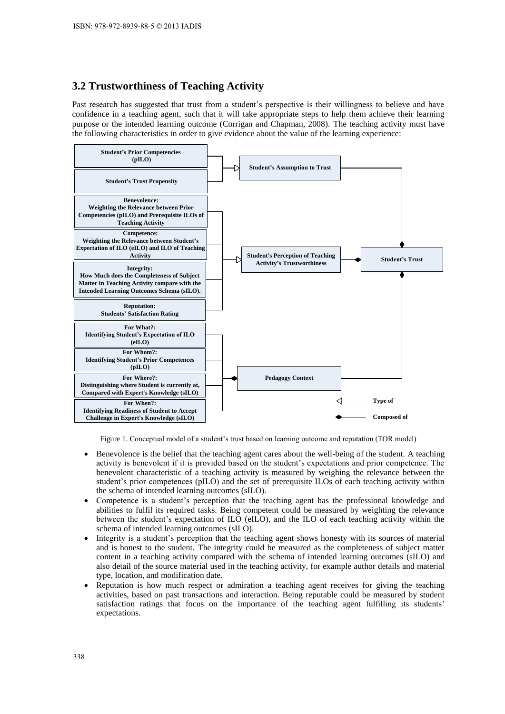# **3.2 Trustworthiness of Teaching Activity**

Past research has suggested that trust from a student's perspective is their willingness to believe and have confidence in a teaching agent, such that it will take appropriate steps to help them achieve their learning purpose or the intended learning outcome (Corrigan and Chapman, 2008). The teaching activity must have the following characteristics in order to give evidence about the value of the learning experience:



Figure 1. Conceptual model of a student's trust based on learning outcome and reputation (TOR model)

- Benevolence is the belief that the teaching agent cares about the well-being of the student. A teaching activity is benevolent if it is provided based on the student's expectations and prior competence. The benevolent characteristic of a teaching activity is measured by weighing the relevance between the student's prior competences (pILO) and the set of prerequisite ILOs of each teaching activity within the schema of intended learning outcomes (sILO).
- Competence is a student's perception that the teaching agent has the professional knowledge and abilities to fulfil its required tasks. Being competent could be measured by weighting the relevance between the student's expectation of ILO (eILO), and the ILO of each teaching activity within the schema of intended learning outcomes (sILO).
- Integrity is a student's perception that the teaching agent shows honesty with its sources of material and is honest to the student. The integrity could be measured as the completeness of subject matter content in a teaching activity compared with the schema of intended learning outcomes (sILO) and also detail of the source material used in the teaching activity, for example author details and material type, location, and modification date.
- Reputation is how much respect or admiration a teaching agent receives for giving the teaching activities, based on past transactions and interaction. Being reputable could be measured by student satisfaction ratings that focus on the importance of the teaching agent fulfilling its students' expectations.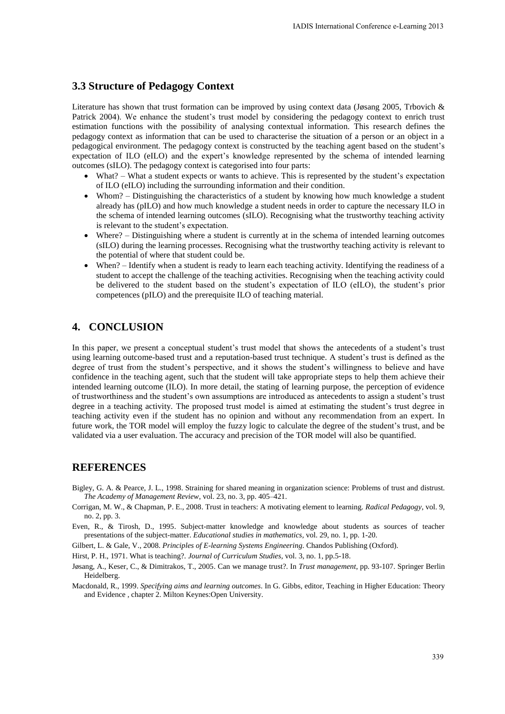#### **3.3 Structure of Pedagogy Context**

Literature has shown that trust formation can be improved by using context data (Jøsang 2005, Trbovich & Patrick 2004). We enhance the student's trust model by considering the pedagogy context to enrich trust estimation functions with the possibility of analysing contextual information. This research defines the pedagogy context as information that can be used to characterise the situation of a person or an object in a pedagogical environment. The pedagogy context is constructed by the teaching agent based on the student's expectation of ILO (eILO) and the expert's knowledge represented by the schema of intended learning outcomes (sILO). The pedagogy context is categorised into four parts:

- What? What a student expects or wants to achieve. This is represented by the student's expectation of ILO (eILO) including the surrounding information and their condition.
- Whom? Distinguishing the characteristics of a student by knowing how much knowledge a student already has (pILO) and how much knowledge a student needs in order to capture the necessary ILO in the schema of intended learning outcomes (sILO). Recognising what the trustworthy teaching activity is relevant to the student's expectation.
- Where? Distinguishing where a student is currently at in the schema of intended learning outcomes (sILO) during the learning processes. Recognising what the trustworthy teaching activity is relevant to the potential of where that student could be.
- When? Identify when a student is ready to learn each teaching activity. Identifying the readiness of a student to accept the challenge of the teaching activities. Recognising when the teaching activity could be delivered to the student based on the student's expectation of ILO (eILO), the student's prior competences (pILO) and the prerequisite ILO of teaching material.

## **4. CONCLUSION**

In this paper, we present a conceptual student's trust model that shows the antecedents of a student's trust using learning outcome-based trust and a reputation-based trust technique. A student's trust is defined as the degree of trust from the student's perspective, and it shows the student's willingness to believe and have confidence in the teaching agent, such that the student will take appropriate steps to help them achieve their intended learning outcome (ILO). In more detail, the stating of learning purpose, the perception of evidence of trustworthiness and the student's own assumptions are introduced as antecedents to assign a student's trust degree in a teaching activity. The proposed trust model is aimed at estimating the student's trust degree in teaching activity even if the student has no opinion and without any recommendation from an expert. In future work, the TOR model will employ the fuzzy logic to calculate the degree of the student's trust, and be validated via a user evaluation. The accuracy and precision of the TOR model will also be quantified.

### **REFERENCES**

- Bigley, G. A. & Pearce, J. L., 1998. Straining for shared meaning in organization science: Problems of trust and distrust. *The Academy of Management Review*, vol. 23, no. 3, pp. 405–421.
- Corrigan, M. W., & Chapman, P. E., 2008. Trust in teachers: A motivating element to learning. *Radical Pedagogy*, vol. 9, no. 2, pp. 3.

Even, R., & Tirosh, D., 1995. Subject-matter knowledge and knowledge about students as sources of teacher presentations of the subject-matter. *Educational studies in mathematics,* vol. 29, no. 1, pp. 1-20.

Gilbert, L. & Gale, V., 2008. *Principles of E-learning Systems Engineering*. Chandos Publishing (Oxford).

Hirst, P. H., 1971. What is teaching?. *Journal of Curriculum Studies,* vol. 3, no. 1, pp.5-18.

Jøsang, A., Keser, C., & Dimitrakos, T., 2005. Can we manage trust?. In *Trust management*, pp. 93-107. Springer Berlin Heidelberg.

Macdonald, R., 1999. *Specifying aims and learning outcomes*. In G. Gibbs, editor, Teaching in Higher Education: Theory and Evidence , chapter 2. Milton Keynes:Open University.